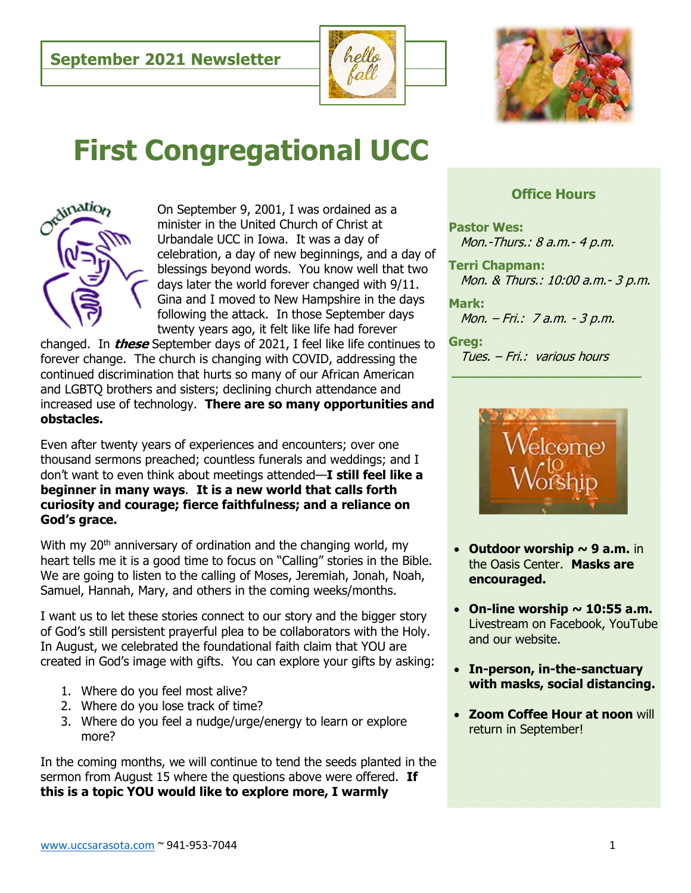



# **First Congregational UCC**



On September 9, 2001, I was ordained as a minister in the United Church of Christ at Urbandale UCC in Iowa. It was a day of celebration, a day of new beginnings, and a day of blessings beyond words. You know well that two days later the world forever changed with 9/11. Gina and I moved to New Hampshire in the days following the attack. In those September days twenty years ago, it felt like life had forever

changed. In **these** September days of 2021, I feel like life continues to forever change. The church is changing with COVID, addressing the continued discrimination that hurts so many of our African American and LGBTQ brothers and sisters; declining church attendance and increased use of technology. **There are so many opportunities and obstacles.**

Even after twenty years of experiences and encounters; over one thousand sermons preached; countless funerals and weddings; and I don't want to even think about meetings attended—**I still feel like a beginner in many ways**. **It is a new world that calls forth curiosity and courage; fierce faithfulness; and a reliance on God's grace.**

With my  $20<sup>th</sup>$  anniversary of ordination and the changing world, my heart tells me it is a good time to focus on "Calling" stories in the Bible. We are going to listen to the calling of Moses, Jeremiah, Jonah, Noah, Samuel, Hannah, Mary, and others in the coming weeks/months.

I want us to let these stories connect to our story and the bigger story of God's still persistent prayerful plea to be collaborators with the Holy. In August, we celebrated the foundational faith claim that YOU are created in God's image with gifts. You can explore your gifts by asking:

- 1. Where do you feel most alive?
- 2. Where do you lose track of time?
- 3. Where do you feel a nudge/urge/energy to learn or explore more?

In the coming months, we will continue to tend the seeds planted in the sermon from August 15 where the questions above were offered. **If this is a topic YOU would like to explore more, I warmly** 

# **Office Hours**

**Pastor Wes:**  Mon.-Thurs.: 8 a.m.- 4 p.m.

**Terri Chapman:**  Mon. & Thurs.: 10:00 a.m.- 3 p.m.

**Mark:** Mon. – Fri.: 7 a.m. - 3 p.m.

#### **Greg:** Tues. – Fri.: various hours



- **Outdoor worship ~ 9 a.m.** in the Oasis Center. **Masks are encouraged.**
- $\bullet$  On-line worship  $\sim$  10:55 a.m. Livestream on Facebook, YouTube and our website.
- **In-person, in-the-sanctuary with masks, social distancing.**
- **Zoom Coffee Hour at noon** will return in September!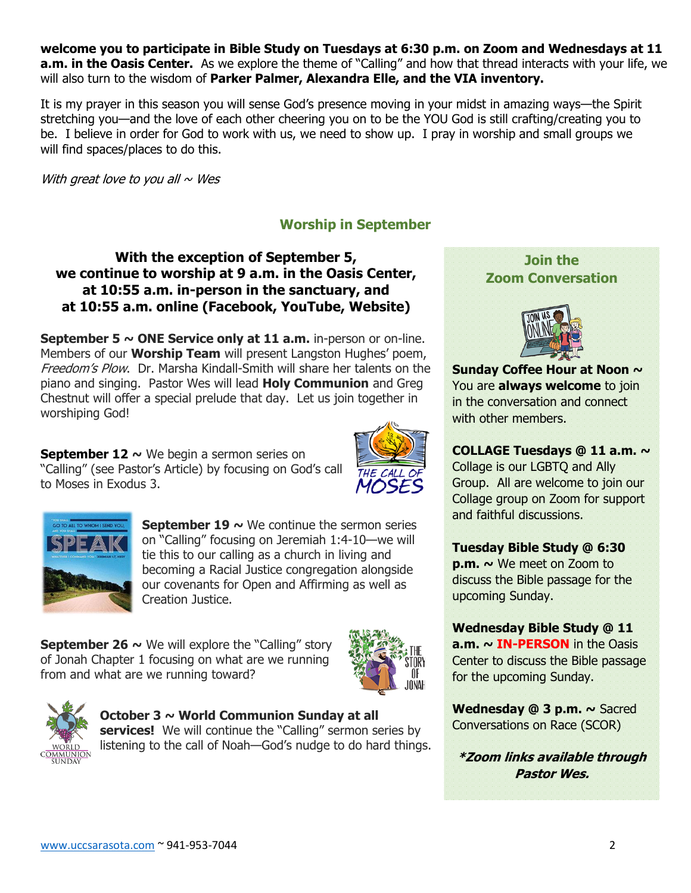**welcome you to participate in Bible Study on Tuesdays at 6:30 p.m. on Zoom and Wednesdays at 11 a.m. in the Oasis Center.** As we explore the theme of "Calling" and how that thread interacts with your life, we will also turn to the wisdom of **Parker Palmer, Alexandra Elle, and the VIA inventory.** 

It is my prayer in this season you will sense God's presence moving in your midst in amazing ways—the Spirit stretching you—and the love of each other cheering you on to be the YOU God is still crafting/creating you to be. I believe in order for God to work with us, we need to show up. I pray in worship and small groups we will find spaces/places to do this.

With great love to you all  $\sim$  Wes

# **Worship in September**

# **With the exception of September 5, we continue to worship at 9 a.m. in the Oasis Center, at 10:55 a.m. in-person in the sanctuary, and at 10:55 a.m. online (Facebook, YouTube, Website)**

**September 5 ~ ONE Service only at 11 a.m.** in-person or on-line. Members of our **Worship Team** will present Langston Hughes' poem, Freedom's Plow. Dr. Marsha Kindall-Smith will share her talents on the piano and singing. Pastor Wes will lead **Holy Communion** and Greg Chestnut will offer a special prelude that day. Let us join together in worshiping God!

**September 12 ~** We begin a sermon series on "Calling" (see Pastor's Article) by focusing on God's call to Moses in Exodus 3.





**September 19**  $\sim$  **We continue the sermon series** on "Calling" focusing on Jeremiah 1:4-10—we will tie this to our calling as a church in living and becoming a Racial Justice congregation alongside our covenants for Open and Affirming as well as Creation Justice.

**September 26**  $\sim$  We will explore the "Calling" story of Jonah Chapter 1 focusing on what are we running from and what are we running toward?





#### **October 3 ~ World Communion Sunday at all**

**services!** We will continue the "Calling" sermon series by listening to the call of Noah—God's nudge to do hard things.

# **Join the Zoom Conversation**



**Sunday Coffee Hour at Noon ~**  You are **always welcome** to join in the conversation and connect with other members.

## **COLLAGE Tuesdays @ 11 a.m. ~** Collage is our LGBTQ and Ally Group. All are welcome to join our Collage group on Zoom for support and faithful discussions.

## **Tuesday Bible Study @ 6:30**

**p.m. ~** We meet on Zoom to discuss the Bible passage for the upcoming Sunday.

**Wednesday Bible Study @ 11 a.m. ~ IN-PERSON** in the Oasis Center to discuss the Bible passage for the upcoming Sunday.

**Wednesday @ 3 p.m. ~** Sacred Conversations on Race (SCOR)

**\*Zoom links available through Pastor Wes.**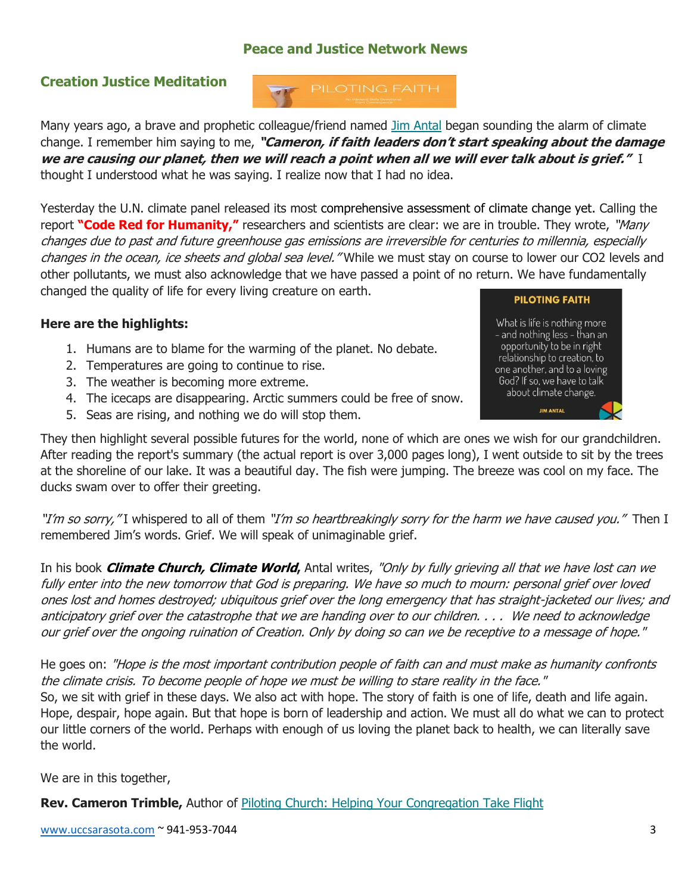# **Peace and Justice Network News**

# **Creation Justice Meditation**

Many years ago, a brave and prophetic colleague/friend named [Jim Antal](https://convergenceus.us18.list-manage.com/track/click?u=880d1564e06392011b7a6221e&id=d94332952e&e=97a92bc0ed) began sounding the alarm of climate change. I remember him saying to me, **"Cameron, if faith leaders don't start speaking about the damage we are causing our planet, then we will reach a point when all we will ever talk about is grief."** I thought I understood what he was saying. I realize now that I had no idea.

Yesterday the U.N. climate panel released its most [comprehensive assessment of climate change yet.](https://convergenceus.us18.list-manage.com/track/click?u=880d1564e06392011b7a6221e&id=00cad87e80&e=97a92bc0ed) Calling the report **"Code Red for Humanity,"** researchers and scientists are clear: we are in trouble. They wrote, "Many changes due to past and future greenhouse gas emissions are irreversible for centuries to millennia, especially changes in the ocean, ice sheets and global sea level. "While we must stay on course to lower our CO2 levels and other pollutants, we must also acknowledge that we have passed a point of no return. We have fundamentally changed the quality of life for every living creature on earth.

# **Here are the highlights:**

- 1. Humans are to blame for the warming of the planet. No debate.
- 2. Temperatures are going to continue to rise.
- 3. The weather is becoming more extreme.
- 4. The icecaps are disappearing. Arctic summers could be free of snow.
- 5. Seas are rising, and nothing we do will stop them.



What is life is nothing more - and nothing less - than an opportunity to be in right relationship to creation, to one another, and to a loving God? If so, we have to talk about climate change. **JIM ANTAL** 

They then highlight several possible futures for the world, none of which are ones we wish for our grandchildren. After reading the report's summary (the actual report is over 3,000 pages long), I went outside to sit by the trees at the shoreline of our lake. It was a beautiful day. The fish were jumping. The breeze was cool on my face. The ducks swam over to offer their greeting.

"I'm so sorry, "I whispered to all of them "I'm so heartbreakingly sorry for the harm we have caused you." Then I remembered Jim's words. Grief. We will speak of unimaginable grief.

In his book **[Climate Church, Climate World](https://convergenceus.us18.list-manage.com/track/click?u=880d1564e06392011b7a6221e&id=4cd531df8f&e=97a92bc0ed),** Antal writes, "Only by fully grieving all that we have lost can we fully enter into the new tomorrow that God is preparing. We have so much to mourn: personal grief over loved ones lost and homes destroyed; ubiquitous grief over the long emergency that has straight-jacketed our lives; and anticipatory grief over the catastrophe that we are handing over to our children. . . . We need to acknowledge our grief over the ongoing ruination of Creation. Only by doing so can we be receptive to a message of hope."

He goes on: "Hope is the most important contribution people of faith can and must make as humanity confronts the climate crisis. To become people of hope we must be willing to stare reality in the face."

So, we sit with grief in these days. We also act with hope. The story of faith is one of life, death and life again. Hope, despair, hope again. But that hope is born of leadership and action. We must all do what we can to protect our little corners of the world. Perhaps with enough of us loving the planet back to health, we can literally save the world.

We are in this together,

**Rev. Cameron Trimble,** Author of [Piloting Church: Helping Your Congregation Take Flight](https://convergenceus.us18.list-manage.com/track/click?u=880d1564e06392011b7a6221e&id=18e65d0c98&e=97a92bc0ed)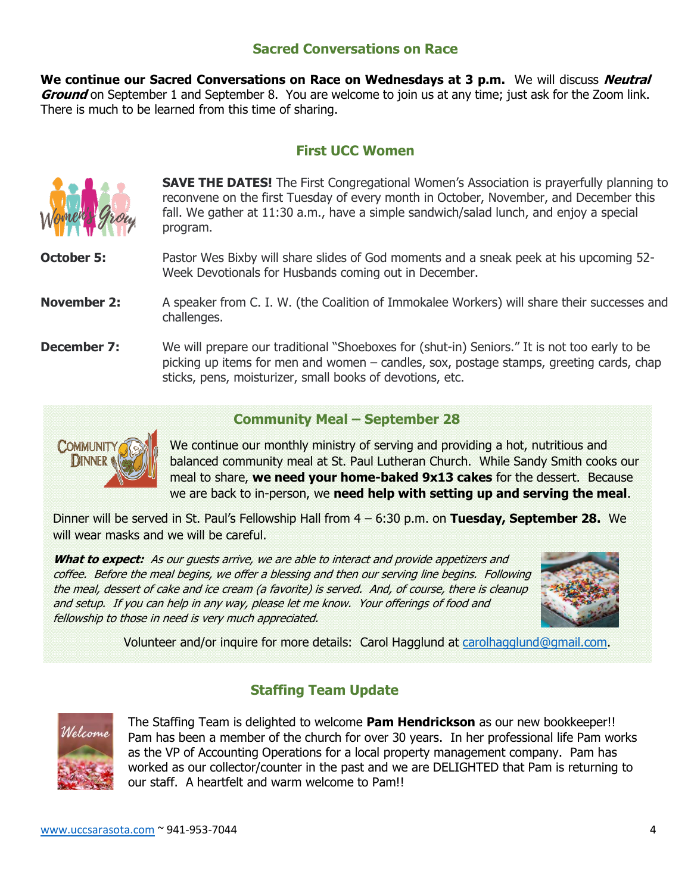# **Sacred Conversations on Race**

**We continue our Sacred Conversations on Race on Wednesdays at 3 p.m.** We will discuss **Neutral Ground** on September 1 and September 8. You are welcome to join us at any time; just ask for the Zoom link. There is much to be learned from this time of sharing.

## **First UCC Women**



**SAVE THE DATES!** The First Congregational Women's Association is prayerfully planning to reconvene on the first Tuesday of every month in October, November, and December this fall. We gather at 11:30 a.m., have a simple sandwich/salad lunch, and enjoy a special program.

**October 5:** Pastor Wes Bixby will share slides of God moments and a sneak peek at his upcoming 52-Week Devotionals for Husbands coming out in December.

#### **November 2:** A speaker from C. I. W. (the Coalition of Immokalee Workers) will share their successes and challenges.

**December 7:** We will prepare our traditional "Shoeboxes for (shut-in) Seniors." It is not too early to be picking up items for men and women – candles, sox, postage stamps, greeting cards, chap sticks, pens, moisturizer, small books of devotions, etc.

#### **Community Meal – September 28**



We continue our monthly ministry of serving and providing a hot, nutritious and balanced community meal at St. Paul Lutheran Church. While Sandy Smith cooks our meal to share, **we need your home-baked 9x13 cakes** for the dessert. Because we are back to in-person, we **need help with setting up and serving the meal**.

Dinner will be served in St. Paul's Fellowship Hall from 4 – 6:30 p.m. on **Tuesday, September 28.** We will wear masks and we will be careful.

**What to expect:** As our guests arrive, we are able to interact and provide appetizers and coffee. Before the meal begins, we offer a blessing and then our serving line begins. Following the meal, dessert of cake and ice cream (a favorite) is served. And, of course, there is cleanup and setup. If you can help in any way, please let me know. Your offerings of food and fellowship to those in need is very much appreciated.



Volunteer and/or inquire for more details: Carol Hagglund at [carolhagglund@gmail.com.](mailto:carolhagglund@gmail.com)

# **Staffing Team Update**



The Staffing Team is delighted to welcome **Pam Hendrickson** as our new bookkeeper!! Pam has been a member of the church for over 30 years. In her professional life Pam works as the VP of Accounting Operations for a local property management company. Pam has worked as our collector/counter in the past and we are DELIGHTED that Pam is returning to our staff. A heartfelt and warm welcome to Pam!!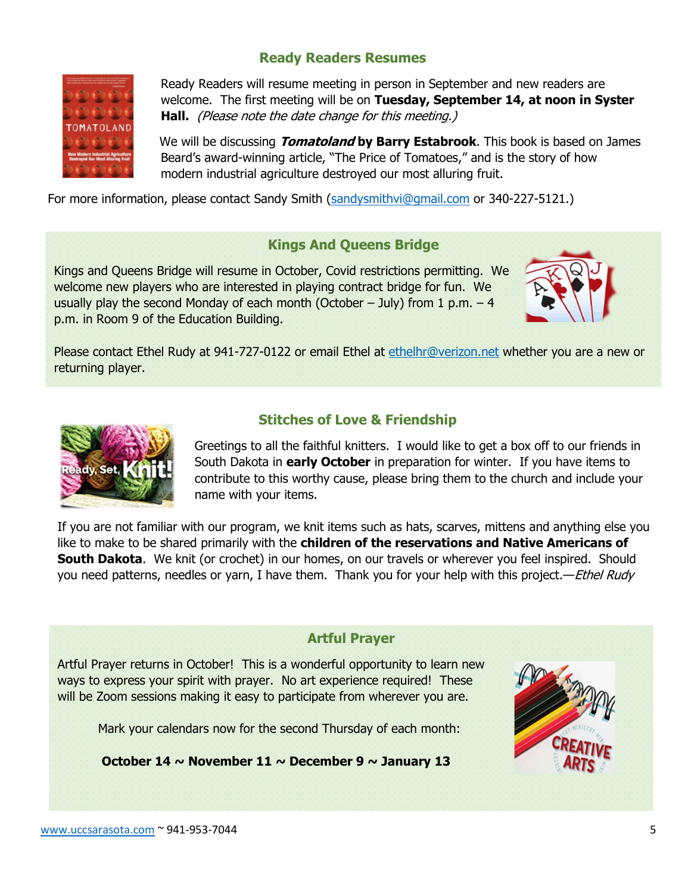# **Ready Readers Resumes**



Ready Readers will resume meeting in person in September and new readers are welcome. The first meeting will be on **Tuesday, September 14, at noon in Syster Hall.** (Please note the date change for this meeting.)

We will be discussing **Tomatoland by Barry Estabrook**. This book is based on James Beard's award-winning article, "The Price of Tomatoes," and is the story of how modern industrial agriculture destroyed our most alluring fruit.

For more information, please contact Sandy Smith [\(sandysmithvi@gmail.com](mailto:sandysmithvi@gmail.com) or 340-227-5121.)

## **Kings And Queens Bridge**

Kings and Queens Bridge will resume in October, Covid restrictions permitting. We welcome new players who are interested in playing contract bridge for fun. We usually play the second Monday of each month (October  $-$  July) from 1 p.m.  $-4$ p.m. in Room 9 of the Education Building.



Please contact Ethel Rudy at 941-727-0122 or email Ethel at [ethelhr@verizon.net](mailto:ethelhr@verizon.net) whether you are a new or returning player.



## **Stitches of Love & Friendship**

Greetings to all the faithful knitters. I would like to get a box off to our friends in South Dakota in **early October** in preparation for winter. If you have items to contribute to this worthy cause, please bring them to the church and include your name with your items.

If you are not familiar with our program, we knit items such as hats, scarves, mittens and anything else you like to make to be shared primarily with the **children of the reservations and Native Americans of South Dakota**. We knit (or crochet) in our homes, on our travels or wherever you feel inspired. Should you need patterns, needles or yarn, I have them. Thank you for your help with this project.—*Ethel Rudy* 

## **Artful Prayer**

Artful Prayer returns in October! This is a wonderful opportunity to learn new ways to express your spirit with prayer. No art experience required! These will be Zoom sessions making it easy to participate from wherever you are.

Mark your calendars now for the second Thursday of each month:

**October 14 ~ November 11 ~ December 9 ~ January 13**

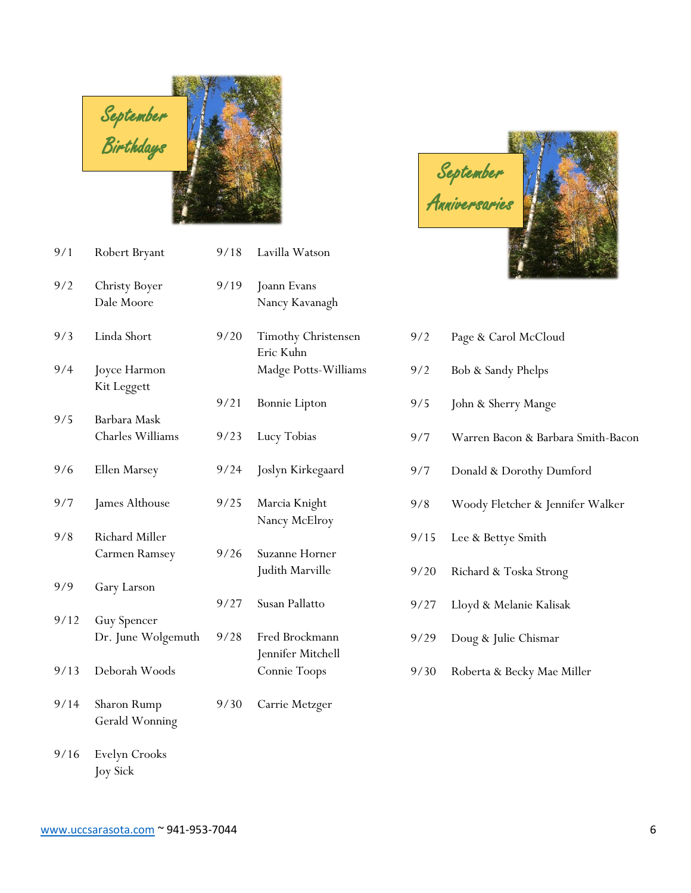

| 9/1  | Robert Bryant                      | 9/18 | Lavilla Watson                      |
|------|------------------------------------|------|-------------------------------------|
| 9/2  | Christy Boyer<br>Dale Moore        | 9/19 | Joann Evans<br>Nancy Kavanagh       |
| 9/3  | Linda Short                        | 9/20 | Timothy Christensen<br>Eric Kuhn    |
| 9/4  | Joyce Harmon<br>Kit Leggett        |      | Madge Potts-Williams                |
|      |                                    | 9/21 | <b>Bonnie Lipton</b>                |
| 9/5  | Barbara Mask<br>Charles Williams   | 9/23 | Lucy Tobias                         |
| 9/6  | Ellen Marsey                       | 9/24 | Joslyn Kirkegaard                   |
| 9/7  | James Althouse                     | 9/25 | Marcia Knight<br>Nancy McElroy      |
| 9/8  | Richard Miller                     |      |                                     |
|      | Carmen Ramsey                      | 9/26 | Suzanne Horner<br>Judith Marville   |
| 9/9  | Gary Larson                        |      |                                     |
| 9/12 | Guy Spencer                        | 9/27 | Susan Pallatto                      |
|      | Dr. June Wolgemuth                 | 9/28 | Fred Brockmann<br>Jennifer Mitchell |
| 9/13 | Deborah Woods                      |      | Connie Toops                        |
| 9/14 | Sharon Rump<br>Gerald Wonning      | 9/30 | Carrie Metzger                      |
| 0/16 | $E_{\text{val}}$ $C_{\text{node}}$ |      |                                     |

9/16 Evelyn Crooks Joy Sick

|      | 9/18 Lavilla Watson                                           |
|------|---------------------------------------------------------------|
| 9/19 | Joann Evans<br>Nancy Kavanagh                                 |
| 9/20 | <b>Timothy Christense</b><br>Eric Kuhn<br>Madge Potts-Williar |
| 9/21 | <b>Bonnie</b> Lipton                                          |
| 9/23 | Lucy Tobias                                                   |
|      | 9/24 Joslyn Kirkegaard                                        |

- 25 Marcia Knight Nancy McElroy
- 26 Suzanne Horner Judith Marville
- 27 Susan Pallatto
- 28 Fred Brockmann Jennifer Mitchell Connie Toops
- 
- September Anniversaries June
- 9/2 Page & Carol McCloud
- 9/2 Bob & Sandy Phelps
	- 9/5 John & Sherry Mange
	- 9/7 Warren Bacon & Barbara Smith-Bacon
	- 9/7 Donald & Dorothy Dumford
	- 9/8 Woody Fletcher & Jennifer Walker
	- 9/15 Lee & Bettye Smith
	- 9/20 Richard & Toska Strong
	- 9/27 Lloyd & Melanie Kalisak
	- 9/29 Doug & Julie Chismar
	- 9/30 Roberta & Becky Mae Miller